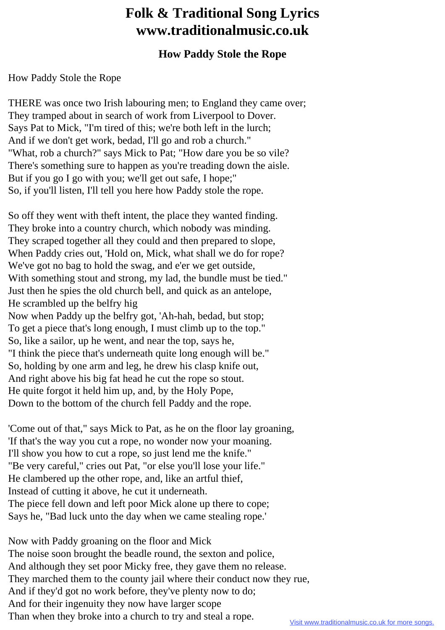## **Folk & Traditional Song Lyrics www.traditionalmusic.co.uk**

## **How Paddy Stole the Rope**

## How Paddy Stole the Rope

THERE was once two Irish labouring men; to England they came over; They tramped about in search of work from Liverpool to Dover. Says Pat to Mick, "I'm tired of this; we're both left in the lurch; And if we don't get work, bedad, I'll go and rob a church." "What, rob a church?" says Mick to Pat; "How dare you be so vile? There's something sure to happen as you're treading down the aisle. But if you go I go with you; we'll get out safe, I hope;" So, if you'll listen, I'll tell you here how Paddy stole the rope.

So off they went with theft intent, the place they wanted finding. They broke into a country church, which nobody was minding. They scraped together all they could and then prepared to slope, When Paddy cries out, 'Hold on, Mick, what shall we do for rope? We've got no bag to hold the swag, and e'er we get outside, With something stout and strong, my lad, the bundle must be tied." Just then he spies the old church bell, and quick as an antelope, He scrambled up the belfry hig

Now when Paddy up the belfry got, 'Ah-hah, bedad, but stop; To get a piece that's long enough, I must climb up to the top." So, like a sailor, up he went, and near the top, says he, "I think the piece that's underneath quite long enough will be." So, holding by one arm and leg, he drew his clasp knife out, And right above his big fat head he cut the rope so stout. He quite forgot it held him up, and, by the Holy Pope, Down to the bottom of the church fell Paddy and the rope.

'Come out of that," says Mick to Pat, as he on the floor lay groaning, 'If that's the way you cut a rope, no wonder now your moaning. I'll show you how to cut a rope, so just lend me the knife." "Be very careful," cries out Pat, "or else you'll lose your life." He clambered up the other rope, and, like an artful thief, Instead of cutting it above, he cut it underneath. The piece fell down and left poor Mick alone up there to cope; Says he, "Bad luck unto the day when we came stealing rope.'

Now with Paddy groaning on the floor and Mick The noise soon brought the beadle round, the sexton and police, And although they set poor Micky free, they gave them no release. They marched them to the county jail where their conduct now they rue, And if they'd got no work before, they've plenty now to do; And for their ingenuity they now have larger scope Than when they broke into a church to try and steal a rope.